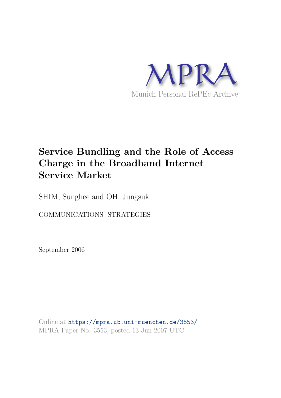

# **Service Bundling and the Role of Access Charge in the Broadband Internet Service Market**

SHIM, Sunghee and OH, Jungsuk

COMMUNICATIONS STRATEGIES

September 2006

Online at https://mpra.ub.uni-muenchen.de/3553/ MPRA Paper No. 3553, posted 13 Jun 2007 UTC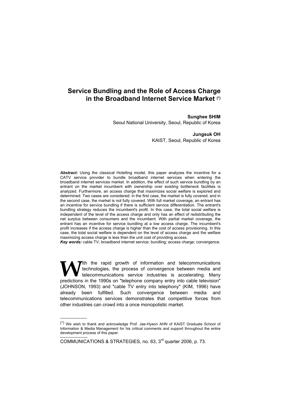# **Service Bundling and the Role of Access Charge in the Broadband Internet Service Market (\*)**

# **Sunghee SHIM**

Seoul National University, Seoul, Republic of Korea

#### **Jungsuk OH**

KAIST, Seoul, Republic of Korea

*Abstract:* Using the classical Hotelling model, this paper analyzes the incentive for a CATV service provider to bundle broadband internet services when entering the broadband internet services market. In addition, the effect of such service bundling by an entrant on the market incumbent with ownership over existing bottleneck facilities is analyzed. Furthermore, an access charge that maximizes social welfare is explored and determined. Two cases are considered: in the first case, the market is fully covered; and in the second case, the market is not fully covered. With full market coverage, an entrant has an incentive for service bundling if there is sufficient service differentiation. The entrant's bundling strategy reduces the incumbent's profit. In this case, the total social welfare is independent of the level of the access charge and only has an effect of redistributing the net surplus between consumers and the incumbent. With partial market coverage, the entrant has an incentive for service bundling at a low access charge. The incumbent's profit increases if the access charge is higher than the cost of access provisioning. In this case, the total social welfare is dependent on the level of access charge and the welfare maximizing access charge is less than the unit cost of providing access.

*Key words:* cable TV; broadband internet service; bundling; access charge; convergence.

**Tith the rapid growth of information and telecommunications** technologies, the process of convergence between media and telecommunications service industries is accelerating. Many predictions in the 1990s on "telephone company entry into cable television" (JOHNSON, 1993) and "cable TV entry into telephony" (KIM, 1996) have already been fulfilled. Such convergence between media and telecommunications services demonstrates that competitive forces from other industries can crowd into a once monopolistic market. **W**

COMMUNICATIONS & STRATEGIES, no. 63, 3rd quarter 2006, p. 73.

j

<sup>(\*)</sup> We wish to thank and acknowledge Prof. Jae-Hyeon AHN of KAIST Graduate School of Information & Media Management for his critical comments and support throughout the entire development process of this paper.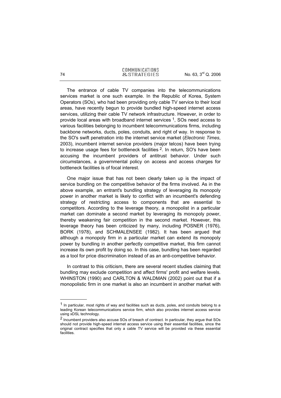The entrance of cable TV companies into the telecommunications services market is one such example. In the Republic of Korea, System Operators (SOs), who had been providing only cable TV service to their local areas, have recently begun to provide bundled high-speed internet access services, utilizing their cable TV network infrastructure. However, in order to provide local areas with broadband internet services 1, SOs need access to various facilities belonging to incumbent telecommunications firms, including backbone networks, ducts, poles, conduits, and right of way. In response to the SO's swift penetration into the internet service market (*Electronic Times*, 2003), incumbent internet service providers (major telcos) have been trying to increase usage fees for bottleneck facilities <sup>2</sup>. In return, SO's have been accusing the incumbent providers of antitrust behavior. Under such circumstances, a governmental policy on access and access charges for bottleneck facilities is of focal interest.

One major issue that has not been clearly taken up is the impact of service bundling on the competitive behavior of the firms involved. As in the above example, an entrant's bundling strategy of leveraging its monopoly power in another market is likely to conflict with an incumbent's defending strategy of restricting access to components that are essential to competitors. According to the leverage theory, a monopolist in a particular market can dominate a second market by leveraging its monopoly power, thereby weakening fair competition in the second market. However, this leverage theory has been criticized by many, including POSNER (1976), BORK (1978), and SCHMALENSEE (1982). It has been argued that although a monopoly firm in a particular market can extend its monopoly power by bundling in another perfectly competitive market, this firm cannot increase its own profit by doing so. In this case, bundling has been regarded as a tool for price discrimination instead of as an anti-competitive behavior.

In contrast to this criticism, there are several recent studies claiming that bundling may exclude competition and affect firms' profit and welfare levels. WHINSTON (1990) and CARLTON & WALDMAN (2002) point out that if a monopolistic firm in one market is also an incumbent in another market with

j

 $<sup>1</sup>$  In particular, most rights of way and facilities such as ducts, poles, and conduits belong to a</sup> leading Korean telecommunications service firm, which also provides internet access service using xDSL technology.

<sup>2</sup> Incumbent providers also accuse SOs of breach of contract. In particular, they argue that SOs should not provide high-speed internet access service using their essential facilities, since the original contract specifies that only a cable TV service will be provided via these essential facilities.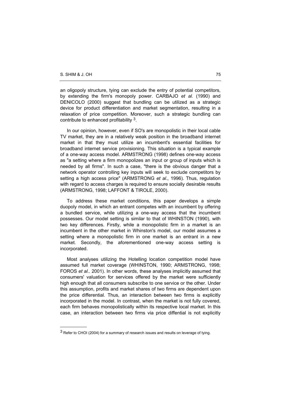l

an oligopoly structure, tying can exclude the entry of potential competitors, by extending the firm's monopoly power. CARBAJO *et al.* (1990) and DENICOLO (2000) suggest that bundling can be utilized as a strategic device for product differentiation and market segmentation, resulting in a relaxation of price competition. Moreover, such a strategic bundling can contribute to enhanced profitability 3.

In our opinion, however, even if SO's are monopolistic in their local cable TV market, they are in a relatively weak position in the broadband internet market in that they must utilize an incumbent's essential facilities for broadband internet service provisioning. This situation is a typical example of a one-way access model. ARMSTRONG (1998) defines one-way access as "a setting where a firm monopolizes an input or group of inputs which is needed by all firms". In such a case, "there is the obvious danger that a network operator controlling key inputs will seek to exclude competitors by setting a high access price" (ARMSTRONG *et al*., 1996). Thus, regulation with regard to access charges is required to ensure socially desirable results (ARMSTRONG, 1998; LAFFONT & TIROLE, 2000).

To address these market conditions, this paper develops a simple duopoly model, in which an entrant competes with an incumbent by offering a bundled service, while utilizing a one-way access that the incumbent possesses. Our model setting is similar to that of WHINSTON (1990), with two key differences. Firstly, while a monopolistic firm in a market is an incumbent in the other market in Whinston's model, our model assumes a setting where a monopolistic firm in one market is an entrant in a new market. Secondly, the aforementioned one-way access setting is incorporated.

Most analyses utilizing the Hotelling location competition model have assumed full market coverage (WHINSTON, 1990; ARMSTRONG, 1998; FOROS *et al*.. 2001). In other words, these analyses implicitly assumed that consumers' valuation for services offered by the market were sufficiently high enough that all consumers subscribe to one service or the other. Under this assumption, profits and market shares of two firms are dependent upon the price differential. Thus, an interaction between two firms is explicitly incorporated in the model. In contrast, when the market is not fully covered, each firm behaves monopolistically within its respective local market. In this case, an interaction between two firms via price diffential is not explicitly

 $3$  Refer to CHOI (2004) for a summary of research issues and results on leverage of tying.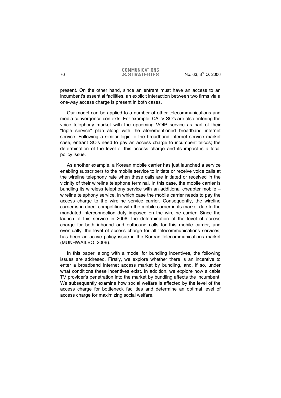present. On the other hand, since an entrant must have an access to an incumbent's essential facilities, an explicit interaction between two firms via a one-way access charge is present in both cases.

Our model can be applied to a number of other telecommunications and media convergence contexts. For example, CATV SO's are also entering the voice telephony market with the upcoming VOIP service as part of their "triple service" plan along with the aforementioned broadband internet service. Following a similar logic to the broadband internet service market case, entrant SO's need to pay an access charge to incumbent telcos; the determination of the level of this access charge and its impact is a focal policy issue.

As another example, a Korean mobile carrier has just launched a service enabling subscribers to the mobile service to initiate or receive voice calls at the wireline telephony rate when these calls are initiated or received in the vicinity of their wireline telephone terminal. In this case, the mobile carrier is bundling its wireless telephony service with an additional cheapter mobile – wireline telephony service, in which case the mobile carrier needs to pay the access charge to the wireline service carrier. Consequently, the wireline carrier is in direct competition with the mobile carrier in its market due to the mandated interconnection duty imposed on the wireline carrier. Since the launch of this service in 2006, the determination of the level of access charge for both inbound and outbound calls for this mobile carrier, and eventually, the level of access charge for all telecommunications services, has been an active policy issue in the Korean telecommunications market (MUNHWAILBO, 2006).

In this paper, along with a model for bundling incentives, the following issues are addresed. Firstly, we explore whether there is an incentive to enter a broadband internet access market by bundling, and, if so, under what conditions these incentives exist. In addition, we explore how a cable TV provider's penetration into the market by bundling affects the incumbent. We subsequently examine how social welfare is affected by the level of the access charge for bottleneck facilities and determine an optimal level of access charge for maximizing social welfare.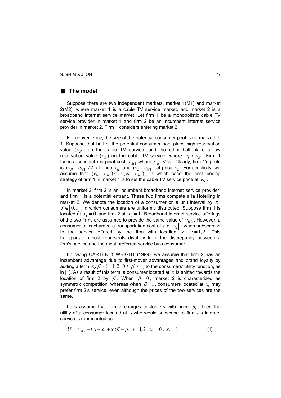# **The model**

Suppose there are two independent markets, market 1(M1) and market 2(M2), where market 1 is a cable TV service market, and market 2 is a broadband internet service market. Let firm 1 be a monopolistic cable TV service provider in market 1 and firm 2 be an incumbent internet service provider in market 2. Firm 1 considers entering market 2.

For convenience, the size of the potential consumer pool is normalized to 1. Suppose that half of the potential consumer pool place high reservation value  $(v_H)$  on the cable TV service, and the other half place a low reservation value  $(v_L)$  on the cable TV service, where  $v_L < v_H$ . Firm 1 faces a constant marginal cost,  $\,c_{M1}^{}$  where  $\,c_{M1}^{} < \nu_{L}^{}$ . Clearly, firm 1's profit is  $(v_H - c_{M1})/2$  at price  $v_H$  and  $(v_L - c_{M1})$  at price  $v_L$ . For simplicity, we assume that  $(v_H - c_{M1}) / 2 \ge (v_L - c_{M1})$ , in which case the best pricing strategy of firm 1 in market 1 is to set the cable TV service price at  $\emph{v}_{H}$  .

In market 2, firm 2 is an incumbent broadband internet service provider, and firm 1 is a potential entrant. These two firms compete a la Hotelling in market 2. We denote the location of a consumer on a unit interval by  $x$ ,  $x \in [0,1]$ , in which consumers are uniformly distributed. Suppose firm 1 is located at  $x_1 = 0$  and firm 2 at  $x_2 = 1$ . Broadband internet service offerings of the two firms are assumed to provide the same value of  $v_{M2}$  . However, a consumer *x* is charged a transportation cost of  $t|x-x_i|$  when subscribing to the service offered by the firm with location  $x_i$ ,  $i=1,2$ . This transportation cost represents disutility from the discrepancy between a firm's service and the most preferred service by a consumer.

Following CARTER & WRIGHT (1999), we assume that firm 2 has an incumbent advantage due to first-mover advantages and brand loyalty by adding a term  $x_it\beta$  ( $i = 1, 2$  ,  $0 \le \beta \le 1$ ) to the consumers' utility function, as in [1]. As a result of this term, a consumer located at *x* is shifted towards the location of firm 2 by  $\beta$ . When  $\beta = 0$ , market 2 is characterized as symmetric competition, whereas when  $\beta = 1$ , consumers located at  $x_1$  may prefer firm 2's service, even although the prices of the two services are the same.

Let's assume that firm  $i$  charges customers with price  $p_i$ . Then the utility of a consumer located at *x* who would subscribe to firm *i* 's internet service is represented as:

$$
U_i = v_{M2} - t|x - x_i| + x_it\beta - p_i \quad i = 1, 2, \ x_1 = 0, \ x_2 = 1
$$
 [1]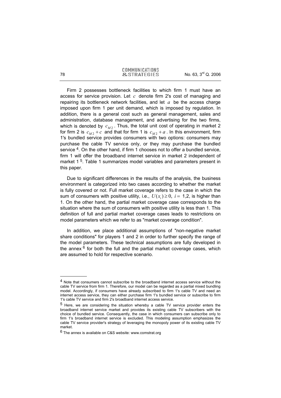Firm 2 possesses bottleneck facilities to which firm 1 must have an access for service provision. Let *c* denote firm 2's cost of managing and repairing its bottleneck network facilities, and let *a* be the access charge imposed upon firm 1 per unit demand, which is imposed by regulation. In addition, there is a general cost such as general management, sales and administration, database management, and advertising for the two firms, which is denoted by  $c_{M2}$ . Thus, the total unit cost of operating in market 2 for firm 2 is  $c_{M2} + c$  and that for firm 1 is  $c_{M2} + a$  . In this environment, firm 1's bundled service provides consumers with two options: consumers may purchase the cable TV service only, or they may purchase the bundled service <sup>4</sup>. On the other hand, if firm 1 chooses not to offer a bundled service, firm 1 will offer the broadband internet service in market 2 independent of market 1<sup>5</sup>. Table 1 summarizes model variables and parameters present in this paper.

Due to significant differences in the results of the analysis, the business environment is categorized into two cases according to whether the market is fully covered or not. Full market coverage refers to the case in which the sum of consumers with positive utility, i.e.,  $U(x_i) \geq 0$ ,  $i = 1,2$ , is higher than 1. On the other hand, the partial market coverage case corresponds to the situation where the sum of consumers with positive utility is less than 1. This definition of full and partial market coverage cases leads to restrictions on model parameters which we refer to as "market coverage condition".

In addition, we place additional assumptions of "non-negative market share conditions" for players 1 and 2 in order to further specify the range of the model parameters. These technical assumptions are fully developed in the annex  $6$  for both the full and the partial market coverage cases, which are assumed to hold for respective scenario.

-

<sup>&</sup>lt;sup>4</sup> Note that consumers cannot subscribe to the broadband internet access service without the cable TV service from firm 1. Therefore, our model can be regarded as a partial mixed bundling model. Accordingly, if consumers have already subscribed to firm 1's cable TV and need an internet access service, they can either purchase firm 1's bundled service or subscribe to firm 1's cable TV service and firm 2's broadband internet access service.

<sup>5</sup> Here, we are considering the situation whereby a cable TV service provider enters the broadband internet service market and provides its existing cable TV subscribers with the choice of bundled service. Consequently, the case in which consumers can subscribe only to firm 1's broadband internet service is excluded. This modeling assumption emphasizes the cable TV service provider's strategy of leveraging the monopoly power of its existing cable TV market.

<sup>&</sup>lt;sup>6</sup> The annex is available on C&S website: www.comstrat.org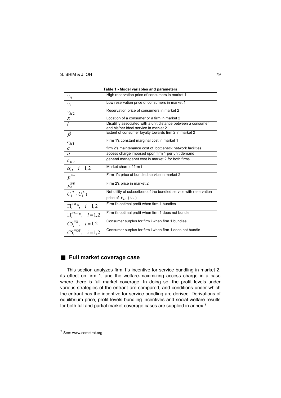| . apro 1 - Mouer variables and parameters |                                                                                                        |  |  |  |  |  |
|-------------------------------------------|--------------------------------------------------------------------------------------------------------|--|--|--|--|--|
| $v_H$                                     | High reservation price of consumers in market 1                                                        |  |  |  |  |  |
| $\mathcal{V}_L$                           | Low reservation price of consumers in market 1                                                         |  |  |  |  |  |
| $v_{M2}$                                  | Reservation price of consumers in market 2                                                             |  |  |  |  |  |
| $\boldsymbol{\mathcal{X}}$                | Location of a consumer or a firm in market 2                                                           |  |  |  |  |  |
| $\bar{t}$                                 | Disutilify associated with a unit distance between a consumer<br>and his/her ideal service in market 2 |  |  |  |  |  |
| $\beta$                                   | Extent of consumer loyalty towards firm 2 in market 2                                                  |  |  |  |  |  |
| $c_{M1}$                                  | Firm 1's constant marginal cost in market 1                                                            |  |  |  |  |  |
| $\mathcal{C}$                             | firm 2's maintenance cost of bottleneck network facilities                                             |  |  |  |  |  |
| $\mathfrak a$                             | access charge imposed upon firm 1 per unit demand                                                      |  |  |  |  |  |
| $c_{M2}$                                  | general managenet cost in market 2 for both firms                                                      |  |  |  |  |  |
| $i = 1, 2$<br>$\alpha_i$ ,                | Market share of firm i                                                                                 |  |  |  |  |  |
| $p_1^{W B}$                               | Firm 1's price of bundled service in market 2                                                          |  |  |  |  |  |
| $p_2^{WB}$                                | Firm 2's price in market 2                                                                             |  |  |  |  |  |
| $U_1^H (U_1^L)$                           | Net utility of subscribers of the bundled service with reservation                                     |  |  |  |  |  |
|                                           | price of $v_H$ ( $v_L$ )                                                                               |  |  |  |  |  |
| $\Pi_i^{WB*}, i = 1,2$                    | Firm i's optimal profit when firm 1 bundles                                                            |  |  |  |  |  |
| $\overline{\Pi_i^{WOB}}^*$ , $i=1,2$      | Firm i's optimal profit when firm 1 does not bundle                                                    |  |  |  |  |  |
| $CS_i^{WB}$ , $i=1,2$                     | Consumer surplus for firm i when firm 1 bundles                                                        |  |  |  |  |  |
| $CS_i^{WOB}, \quad i=1,2$                 | Consumer surplus for firm i when firm 1 does not bundle                                                |  |  |  |  |  |

|  |  |  |  | Table 1 - Model variables and parameters |
|--|--|--|--|------------------------------------------|
|--|--|--|--|------------------------------------------|

# **Full market coverage case**

This section analyzes firm 1's incentive for service bundling in market 2, its effect on firm 1, and the welfare-maximizing access charge in a case where there is full market coverage. In doing so, the profit levels under various strategies of the entrant are compared, and conditions under which the entrant has the incentive for service bundling are derived. Derivations of equilibrium price, profit levels bundling incentives and social welfare results for both full and partial market coverage cases are supplied in annex 7.

l

<sup>7</sup> See: www.comstrat.org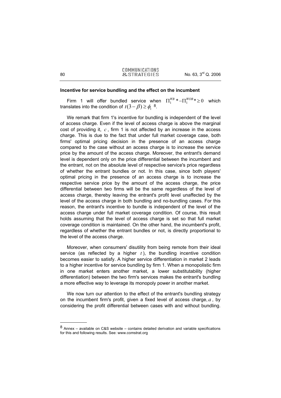#### **Incentive for service bundling and the effect on the incumbent**

Firm 1 will offer bundled service when  $\Pi_1^{WB} * - \Pi_1^{WOB} * \geq 0$  which translates into the condition of  $t(3 - \beta) \geq \phi_1$ <sup>8</sup>.

We remark that firm 1's incentive for bundling is independent of the level of access charge. Even if the level of access charge is above the marginal cost of providing it, *c* , firm 1 is not affected by an increase in the access charge. This is due to the fact that under full market coverage case, both firms' optimal pricing decision in the presence of an access charge compared to the case without an access charge is to increase the service price by the amount of the access charge. Moreover, the entrant's demand level is dependent only on the price differential between the incumbent and the entrant, not on the absolute level of respective service's price regardless of whether the entrant bundles or not. In this case, since both players' optimal pricing in the presence of an access charge is to increase the respective service price by the amount of the access charge, the price differential between two firms will be the same regardless of the level of access charge, thereby leaving the entrant's profit level unaffected by the level of the access charge in both bundling and no-bundling cases. For this reason, the entrant's incentive to bundle is independent of the level of the access charge under full market coverage condition. Of course, this result holds assuming that the level of access charge is set so that full market coverage condition is maintained. On the other hand, the incumbent's profit, regardless of whether the entrant bundles or not, is directly proportional to the level of the access charge.

Moreover, when consumers' disutility from being remote from their ideal service (as reflected by a higher  $t$ ), the bundling incentive condition becomes easier to satisfy. A higher service differentiation in market 2 leads to a higher incentive for service bundling by firm 1. When a monopolistic firm in one market enters another market, a lower substitutability (higher differentiation) between the two firm's services makes the entrant's bundling a more effective way to leverage its monopoly power in another market.

We now turn our attention to the effect of the entrant's bundling strategy on the incumbent firm's profit, given a fixed level of access charge, *a* , by considering the profit differential between cases with and without bundling.

-

 $8$  Annex – available on C&S website – contains detailed derivation and variable specifications for this and following results. See: www.comstrat.org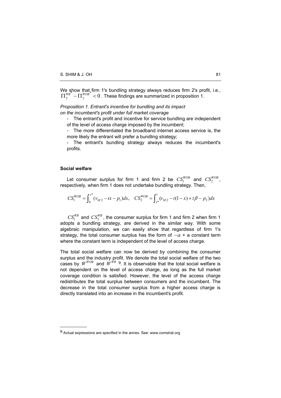We show that firm 1's bundling strategy always reduces firm 2's profit, i.e.,  $\alpha$   $\alpha$ 2  $\Pi_2^{WB} - \Pi_2^{WOB}$   $\leq 0$ . These findings are summarized in proposition 1.

*Proposition 1. Entrant's incentive for bundling and its impact on the incumbent's profit under full market coverage* 

- The entrant's profit and incentive for service bundling are independent of the level of access charge imposed by the incumbent;

- The more differentiated the broadband internet access service is, the more likely the entrant will prefer a bundling strategy;

- The entrant's bundling strategy always reduces the incumbent's profits.

#### **Social welfare**

l

Let consumer surplus for firm 1 and firm 2 be  $CS_1^{WOB}$  and  $CS_2^{WOB}$ , respectively, when firm 1 does not undertake bundling strategy. Then,

$$
CS_1^{WOB} = \int_0^{x^*} (\nu_{M2} - tx - p_1) dx, \quad CS_2^{WOB} = \int_{x^*}^1 (\nu_{M2} - t(1-x) + t\beta - p_2) dx
$$

 $CS_1^{WB}$  and  $CS_2^{WB}$ , the consumer surplus for firm 1 and firm 2 when firm 1 adopts a bundling strategy, are derived in the similar way. With some algebraic manipulation, we can easily show that regardless of firm 1's strategy, the total consumer surplus has the form of −*a* + a constant term where the constant term is independent of the level of access charge.

The total social welfare can now be derived by combining the consumer surplus and the industry profit. We denote the total social welfare of the two cases by  $W^{WOB}$  and  $W^{WB}$  <sup>9</sup>. It is observable that the total social welfare is not dependent on the level of access charge, as long as the full market coverage condition is satisfied. However, the level of the access charge redistributes the total surplus between consumers and the incumbent. The decrease in the total consumer surplus from a higher access charge is directly translated into an increase in the incumbent's profit.

<sup>9</sup> Actual expressions are specified in the annex. See: www.comstrat.org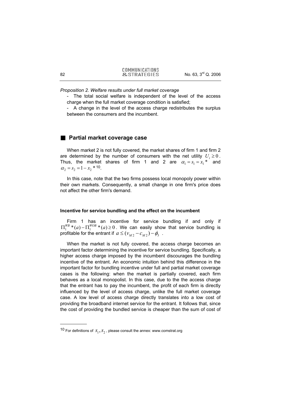*Proposition 2. Welfare results under full market coverage* 

The total social welfare is independent of the level of the access charge when the full market coverage condition is satisfied;

- A change in the level of the access charge redistributes the surplus between the consumers and the incumbent.

# **Partial market coverage case**

When market 2 is not fully covered, the market shares of firm 1 and firm 2 are determined by the number of consumers with the net utility  $U_i \geq 0$ . Thus, the market shares of firm 1 and 2 are  $\alpha_1 = s_1 = x_1^*$  and  $\alpha_2 = s_2 = 1 - x_2 * 10$ .

In this case, note that the two firms possess local monopoly power within their own markets. Consequently, a small change in one firm's price does not affect the other firm's demand.

#### **Incentive for service bundling and the effect on the incumbent**

Firm 1 has an incentive for service bundling if and only if  $\Pi_1^{WB}*(a) - \Pi_1^{WOB}*(a) \geq 0$ . We can easily show that service bundling is profitable for the entrant if  $a \leq (v_M, -c_M, ) - \phi$ .

When the market is not fully covered, the access charge becomes an important factor determining the incentive for service bundling. Specifically, a higher access charge imposed by the incumbent discourages the bundling incentive of the entrant. An economic intuition behind this difference in the important factor for bundling incentive under full and partial market coverage cases is the following: when the market is partially covered, each firm behaves as a local monopolist. In this case, due to the the access charge that the entrant has to pay the incumbent, the profit of each firm is directly influenced by the level of access charge, unlike the full market coverage case. A low level of access charge directly translates into a low cost of providing the broadband internet service for the entrant. It follows that, since the cost of providing the bundled service is cheaper than the sum of cost of

-

<sup>&</sup>lt;sup>10</sup> For definitions of  $S_1, S_2$ , please consult the annex: www.comstrat.org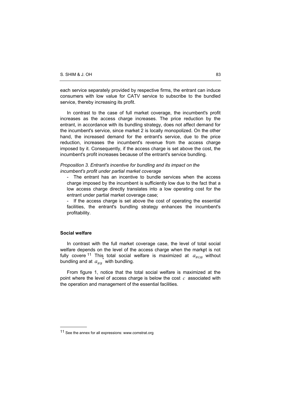each service separately provided by respective firms, the entrant can induce consumers with low value for CATV service to subscribe to the bundled service, thereby increasing its profit.

In contrast to the case of full market coverage, the incumbent's profit increases as the access charge increases. The price reduction by the entrant, in accordance with its bundling strategy, does not affect demand for the incumbent's service, since market 2 is locally monopolized. On the other hand, the increased demand for the entrant's service, due to the price reduction, increases the incumbent's revenue from the access charge imposed by it. Consequently, if the access charge is set above the cost, the incumbent's profit increases because of the entrant's service bundling.

#### *Proposition 3. Entrant's incentive for bundling and its impact on the incumbent's profit under partial market coverage*

- The entrant has an incentive to bundle services when the access charge imposed by the incumbent is sufficiently low due to the fact that a low access charge directly translates into a low operating cost for the entrant under partial market coverage case;

If the access charge is set above the cost of operating the essential facilities, the entrant's bundling strategy enhances the incumbent's profitability.

# **Social welfare**

l

In contrast with the full market coverage case, the level of total social welfare depends on the level of the access charge when the market is not fully covere  $11$  This total social welfare is maximized at  $a_{WOB}$  without bundling and at  $\mathit{a_{WB}}^*$  with bundling.

From figure 1, notice that the total social welfare is maximized at the point where the level of access charge is below the cost *c* associated with the operation and management of the essential facilities.

<sup>11</sup> See the annex for all expressions: www.comstrat.org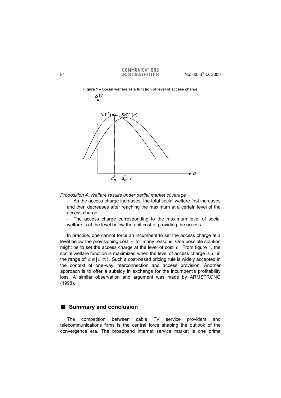

**Figure 1 – Social welfare as a function of level of access charge** 

*Proposition 4. Welfare results under partial market coverage* 

As the access charge increases, the total social welfare first increases and then decreases after reaching the maximum at a certain level of the access charge:

- The access charge corresponding to the maximum level of social welfare is at the level below the unit cost of providing the access.

In practice, one cannot force an incumbent to set the access charge at a level below the provisioning cost *c* for many reasons. One possible solution might be to set the access charge at the level of cost *c* . From figure 1, the social welfare function is maximized when the level of access charge is *c* in the range of  $a \in [c, \infty)$ . Such a cost-based pricing rule is widely accepted in the context of one-way interconnection and access provision. Another approach is to offer a subsidy in exchange for the incumbent's profitability loss. A similar observation and argument was made by ARMSTRONG (1998).

# **Summary and conclusion**

The competition between cable TV service providers and telecommunications firms is the central force shaping the outlook of the convergence era. The broadband internet service market is one prime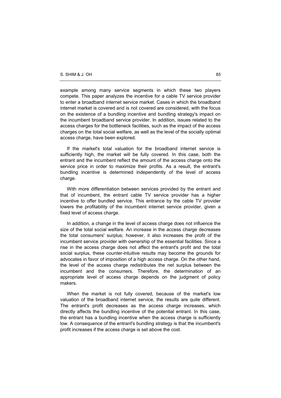example among many service segments in which these two players compete. This paper analyzes the incentive for a cable TV service provider to enter a broadband internet service market. Cases in which the broadband internet market is covered and is not covered are considered, with the focus on the existence of a bundling incentive and bundling strategy's impact on the incumbent broadband service provider. In addition, issues related to the access charges for the bottleneck facilities, such as the impact of the access charges on the total social welfare, as well as the level of the socially optimal access charge, have been explored.

If the market's total valuation for the broadband internet service is sufficiently high, the market will be fully covered. In this case, both the entrant and the incumbent reflect the amount of the access charge onto the service price in order to maximize their profits. As a result, the entrant's bundling incentive is determined independently of the level of access charge.

With more differentiation between services provided by the entrant and that of incumbent, the entrant cable TV service provider has a higher incentive to offer bundled service. This entrance by the cable TV provider lowers the profitability of the incumbent internet service provider, given a fixed level of access charge.

In addition, a change in the level of access charge does not influence the size of the total social welfare. An increase in the access charge decreases the total consumers' surplus; however, it also increases the profit of the incumbent service provider with ownership of the essential facilities. Since a rise in the access charge does not affect the entrant's profit and the total social surplus, these counter-intuitive results may become the grounds for advocates in favor of imposition of a high access charge. On the other hand, the level of the access charge redistributes the net surplus between the incumbent and the consumers. Therefore, the determination of an appropriate level of access charge depends on the judgment of policy makers.

When the market is not fully covered, because of the market's low valuation of the broadband internet service, the results are quite different. The entrant's profit decreases as the access charge increases, which directly affects the bundling incentive of the potential entrant. In this case, the entrant has a bundling incentive when the access charge is sufficiently low. A consequence of the entrant's bundling strategy is that the incumbent's profit increases if the access charge is set above the cost.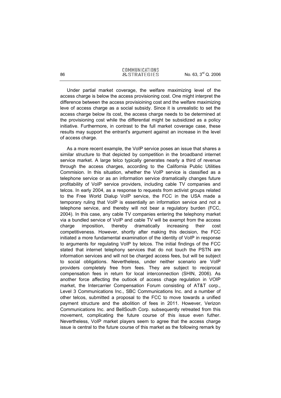Under partial market coverage, the welfare maximizing level of the access charge is below the access provisioning cost. One might interpret the difference between the access provisioining cost and the welfare maximizing leve of access charge as a social subsidy. Since it is unrealistic to set the access charge below its cost, the access charge needs to be determined at the provisioning cost while the differential might be subsidized as a policy initiative. Furthermore, in contrast to the full market coverage case, these results may support the entrant's argument against an increase in the level of access charge.

As a more recent example, the VoIP service poses an issue that shares a similar structure to that depicted by competition in the broadband internet service market. A large telco typically generates nearly a third of revenue through the access charges, according to the California Public Utilities Commision. In this situation, whether the VoIP service is classified as a telephone service or as an information service dramatically changes future profitability of VoIP service providers, including cable TV companies and telcos. In early 2004, as a response to requests from activist groups related to the Free World Dialup VoIP service, the FCC in the USA made a temporary ruling that VoIP is essentially an information service and not a telephone service, and thereby will not bear a regulatory burden (FCC, 2004). In this case, any cable TV companies entering the telephony market via a bundled service of VoIP and cable TV will be exempt from the access charge imposition, thereby dramatically increasing their cost competitiveness. However, shortly after making this decision, the FCC initiated a more fundamental examination of the identity of VoIP in response to arguments for regulating VoIP by telcos. The initial findings of the FCC stated that internet telephony services that do not touch the PSTN are information services and will not be charged access fees, but will be subject to social obligations. Nevertheless, under neither scenario are VoIP providers completely free from fees. They are subject to reciprocal compensation fees in return for local interconnection (SHIN, 2006). As another force affecting the outlook of access chage regulation in VOIP market, the Intercarrier Compensation Forum consisting of AT&T corp., Level 3 Communications Inc., SBC Communications Inc. and a number of other telcos, submitted a proposal to the FCC to move towards a unified payment structure and the abolition of fees in 2011. However, Verizon Communications Inc. and BellSouth Corp. subsequently retreated from this movement, complicating the future course of this issue even futher. Nevertheless, VoIP market players seem to agree that the access charge issue is central to the future course of this market as the following remark by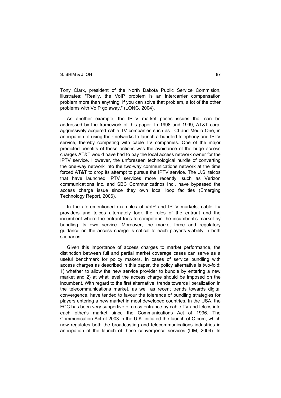Tony Clark, president of the North Dakota Public Service Commision, illustrates: "Really, the VoIP problem is an intercarrier compensation problem more than anything. If you can solve that problem, a lot of the other problems with VoIP go away." (LONG, 2004).

As another example, the IPTV market poses issues that can be addressed by the framework of this paper. In 1998 and 1999, AT&T corp. aggressively acquired cable TV companies such as TCI and Media One, in anticipation of using their networks to launch a bundled telephony and IPTV service, thereby competing with cable TV companies. One of the major predicted benefits of these actions was the avoidance of the huge access charges AT&T would have had to pay the local access network owner for the IPTV service. However, the unforeseen technological hurdle of converting the one-way network into the two-way communications network at the time forced AT&T to drop its attempt to pursue the IPTV service. The U.S. telcos that have launched IPTV services more recently, such as Verizon communications Inc. and SBC Communicatinos Inc., have bypassed the access charge issue since they own local loop facilities (Emerging Technology Report, 2006).

In the aforementioned examples of VoIP and IPTV markets, cable TV providers and telcos alternately took the roles of the entrant and the incumbent where the entrant tries to compete in the incumbent's market by bundling its own service. Moreover, the market force and regulatory guidance on the access charge is critical to each player's viability in both scenarios.

Given this importance of access charges to market performance, the distinction between full and partial market coverage cases can serve as a useful benchmark for policy makers. In cases of service bundling with access charges as described in this paper, the policy alternative is two-fold: 1) whether to allow the new service provider to bundle by entering a new market and 2) at what level the access charge should be imposed on the incumbent. With regard to the first alternative, trends towards liberalization in the telecommunications market, as well as recent trends towards digital convergence, have tended to favour the tolerance of bundling strategies for players entering a new market in most developed countries. In the USA, the FCC has been very supportive of cross entrance by cable TV and telcos into each other's market since the Communications Act of 1996. The Communication Act of 2003 in the U.K. initiated the launch of Ofcom, which now regulates both the broadcasting and telecommunications industries in anticipation of the launch of these convergence services (LIM, 2004). In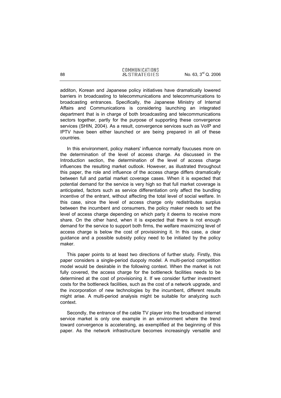additon, Korean and Japanese policy initiatives have dramatically lowered barriers in broadcasting to telecommunications and telecommunications to broadcasting entrances. Specifically, the Japanese Ministry of Internal Affairs and Communications is considering launching an integrated department that is in charge of both broadcasting and telecommunications sectors together, partly for the purpose of supporting these convergence services (SHIN, 2004). As a result, convergence services such as VoIP and IPTV have been either launched or are being prepared in all of these countries.

In this environment, policy makers' influence normally foucuses more on the determination of the level of access charge. As discussed in the Introduction section, the determination of the level of access charge influences the resulting market outlook. However, as illustrated throughout this paper, the role and influence of the access charge differs dramatically between full and partial market coverage cases. When it is expected that potential demand for the service is very high so that full market coverage is anticipated, factors such as service differentiation only affect the bundling incentive of the entrant, without affecting the total level of social welfare. In this case, since the level of access charge only redistributes surplus between the incumbent and consumers, the policy maker needs to set the level of access charge depending on which party it deems to receive more share. On the other hand, when it is expected that there is not enough demand for the service to support both firms, the welfare maximizing level of access charge is below the cost of provisioining it. In this case, a clear guidance and a possible subsidy policy need to be initiated by the policy maker.

This paper points to at least two directions of further study. Firstly, this paper considers a single-period duopoly model. A multi-period competition model would be desirable in the following context. When the market is not fully covered, the access charge for the bottleneck facilities needs to be determined at the cost of provisioning it. If we consider further investment costs for the bottleneck facilities, such as the cost of a network upgrade, and the incorporation of new technologies by the incumbent, different results might arise. A multi-period analysis might be suitable for analyzing such context.

Secondly, the entrance of the cable TV player into the broadband internet service market is only one example in an environment where the trend toward convergence is accelerating, as exemplified at the beginning of this paper. As the network infrastructure becomes increasingly versatile and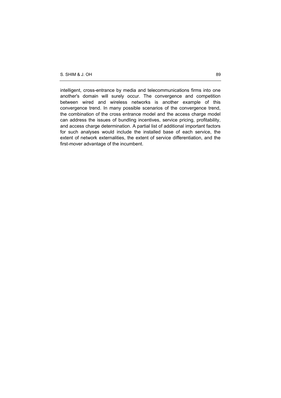intelligent, cross-entrance by media and telecommunications firms into one another's domain will surely occur. The convergence and competition between wired and wireless networks is another example of this convergence trend. In many possible scenarios of the convergence trend, the combination of the cross entrance model and the access charge model can address the issues of bundling incentives, service pricing, profitability, and access charge determination. A partial list of additional important factors for such analyses would include the installed base of each service, the extent of network externalities, the extent of service differentiation, and the first-mover advantage of the incumbent.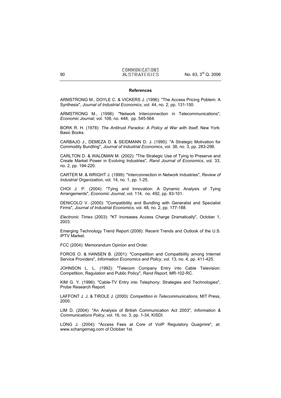#### **References**

ARMSTRONG M., DOYLE C. & VICKERS J. (1996): "The Access Pricing Poblem: A Synthesis", *Journal of Industrial Economics*, vol. 44, no. 2, pp. 131-150.

ARMSTRONG M., (1998): "Network Interconnection in Telecommunications", *Economic Journal*, vol. 108, no. 448, pp. 545-564.

BORK R. H. (1978): *The Antitrust Paradox: A Policy at War with Itself*, New York: Basic Books.

CARBAJO J., DEMEZA D. & SEIDMANN D. J. (1990): "A Strategic Motivation for Commodity Bundling", *Journal of Industrial Economics*, vol. 38, no. 3, pp. 283-298.

CARLTON D. & WALDMAN M. (2002): "The Strategic Use of Tying to Preserve and Create Market Power in Evolving Industries", *Rand Journal of Economics*, vol. 33, no. 2, pp. 194-220.

CARTER M. & WRIGHT J. (1999): "Interconnection in Network Industries", *Review of Industrial Organization*, vol. 14, no. 1, pp. 1-25.

CHOI J. P. (2004): "Tying and Innovation: A Dynamic Analysis of Tying Arrangements", *Economic Journal*, vol. 114, no. 492, pp. 83-101.

DENICOLO V. (2000): "Compatibility and Bundling with Generalist and Specialist Firms", *Journal of Industrial Economics*, vol. 48, no. 2, pp. 177-188.

*Electronic Times* (2003): "KT Increases Access Charge Dramatically", October 1, 2003.

Emerging Technology Trend Report (2006): Recent Trends and Outlook of the U.S. IPTV Market.

FCC (2004): Memorandum Opinion and Order.

FOROS O. & HANSEN B. (2001): "Competition and Compatibility among Internet Service Providers", *Information Economics and Policy*, vol. 13, no. 4, pp. 411-425.

JOHNSON L. L. (1992): "Telecom Company Entry into Cable Television: Competition, Regulation and Public Policy", *Rand Report*, MR-102-RC.

KIM G. Y. (1996): "Cable-TV Entry into Telephony: Strategies and Technologies", Probe Research Report.

LAFFONT J. J. & TIROLE J. (2000): *Competition in Telecommunications*, MIT Press, 2000.

LIM D. (2004): "An Analysis of British Communication Act 2003", *Information & Communications Policy*, vol. 16, no. 3, pp. 1-34, KISDI.

LONG J. (2004): "Access Fees at Core of VoIP Regulatory Quagmire", at: www.xchangemag.com of October 1st.